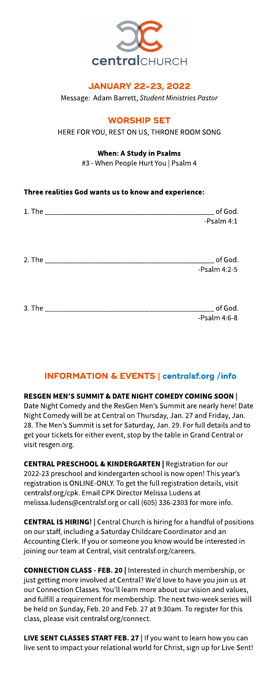

## **JANUARY 22-23, 2022**

Message: Adam Barrett,**Student MinistriesPastor**

## **WORSHIP SET**

#### HERE FOR YOU, REST ON US, THRONE ROOM SONG

#### When: A Study in Psalms

#3 - When People Hurt You | Psalm 4

## Three realities God wants us to know and experience:

|                                   | $\_$ of God. $\,$<br>-Psalm 4:1       |
|-----------------------------------|---------------------------------------|
|                                   | $\_$ of God.<br>-Psalm 4:2-5          |
| 3. The __________________________ | $\frac{1}{2}$ of God.<br>-Psalm 4:6-8 |

# INFORMATION& EVENTS| **[centralsf.org/info](http://centralsf.org/info)**

#### RESGEN MEN'S SUMMIT & DATE NIGHT COMEDY COMING SOON | Date Night Comedy and the ResGen Men's Summit are nearly here! Date Night Comedy will be at Central on Thursday, Jan. 27 and Friday, Jan. 28. The Men's Summit is set for Saturday, Jan. 29. For full details and to get your tickets for either event, stop by the table in Grand Central or visit resgen.org.

CENTRAL PRESCHOOL& KINDERGARTEN | Registration for our 2022-23 preschool and kindergarten school is now open! This year's registration is ONLINE-ONLY. To get the full registration details, visit centralsf.org/cpk. Email CPK Director Melissa Ludens at melissa.ludens@centralsf.org or call (605) 336-2303 for more info.

**CENTRAL IS HIRING!** | Central Church is hiring for a handful of positions on our staff, including a Saturday Childcare Coordinator and an Accounting Clerk. If you or someone you know would be interested in joining our team at Central, visit centralsf.org/careers.

CONNECTION CLASS- FEB. 20 | Interested in church membership, or just getting more involved at Central? We'd love to have you join us at our Connection Classes. You'll learn more about our vision and values, and fulfill a requirement for membership. The next two-week series will be held on Sunday, Feb. 20 and Feb. 27at 9:30am. To register for this class, please visit centralsf.org/connect.

LIVE SENT CLASSES START FEB. 27 | If you want to learn how you can live sent to impact your relational world for Christ, sign up for Live Sent!